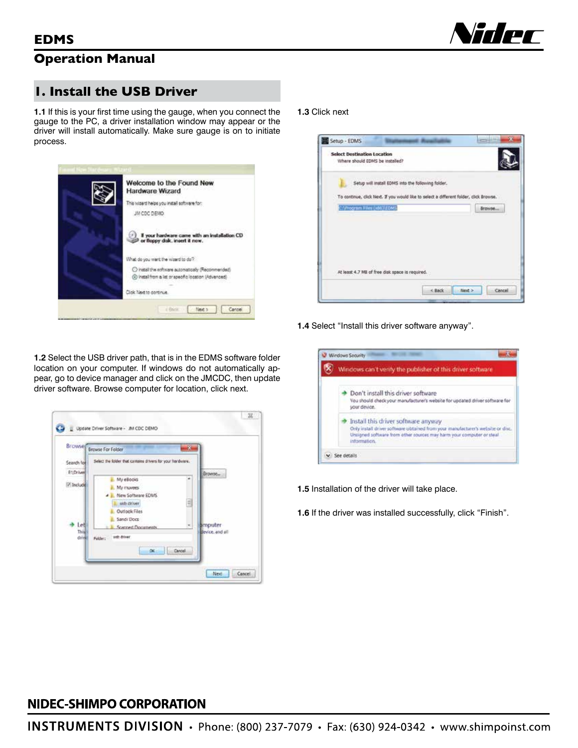

## **Operation Manual**

## **1. Install the USB Driver**

**1.1** If this is your first time using the gauge, when you connect the gauge to the PC, a driver installation window may appear or the driver will install automatically. Make sure gauge is on to initiate process.



**1.3** Click next



**1.4** Select "Install this driver software anyway".



- **1.5** Installation of the driver will take place.
- **1.6** If the driver was installed successfully, click "Finish".

**1.2** Select the USB driver path, that is in the EDMS software folder location on your computer. If windows do not automatically appear, go to device manager and click on the JMCDC, then update driver software. Browse computer for location, click next.



## NIDEC-SHIMPO CORPORATION

**INSTRUMENTS DIVISION** • Phone: (800) 237-7079 • Fax: (630) 924-0342 • www.shimpoinst.com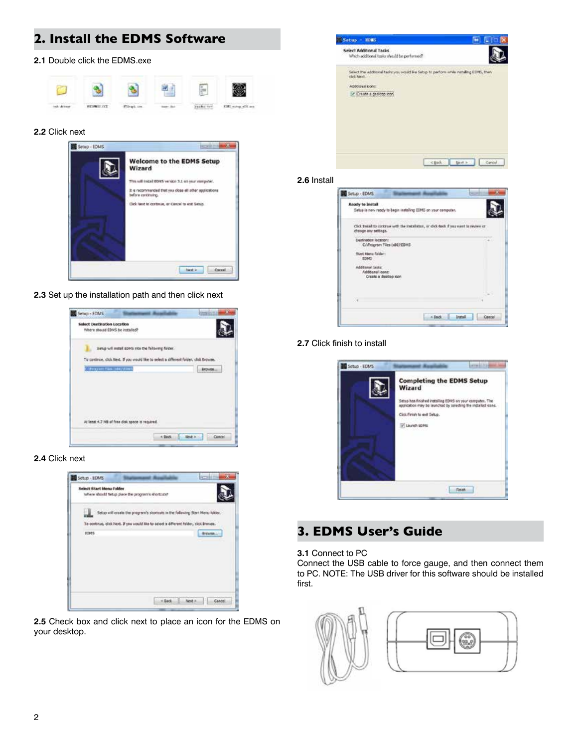## **2. Install the EDMS Software**

### **2.1** Double click the EDMS.exe



#### **2.2** Click next



**2.3** Set up the installation path and then click next



## **2.4** Click next



**2.5** Check box and click next to place an icon for the EDMS on your desktop.



### **2.6** Install



### **2.7** Click finish to install



## **3. EDMS User's Guide**

### **3.1** Connect to PC

Connect the USB cable to force gauge, and then connect them to PC. NOTE: The USB driver for this software should be installed first.

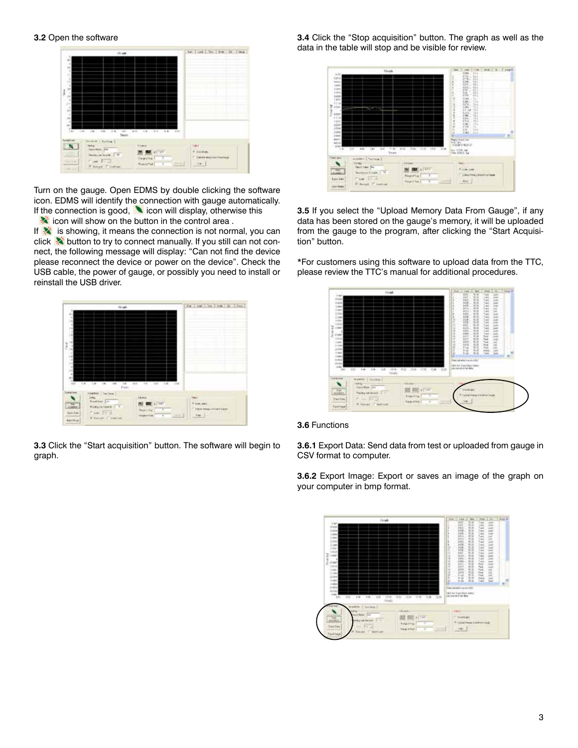

Turn on the gauge. Open EDMS by double clicking the software icon. EDMS will identify the connection with gauge automatically. If the connection is good,  $\blacksquare$  icon will display, otherwise this  $\frac{1}{2}$  icon will show on the button in the control area.

If  $\ast$  is showing, it means the connection is not normal, you can click  $\frac{1}{2}$  button to try to connect manually. If you still can not connect, the following message will display: "Can not find the device please reconnect the device or power on the device". Check the USB cable, the power of gauge, or possibly you need to install or reinstall the USB driver.



**3.3** Click the "Start acquisition" button. The software will begin to graph.

**3.4** Click the "Stop acquisition" button. The graph as well as the data in the table will stop and be visible for review.



**3.5** If you select the "Upload Memory Data From Gauge", if any data has been stored on the gauge's memory, it will be uploaded from the gauge to the program, after clicking the "Start Acquisition" button.

\*For customers using this software to upload data from the TTC, please review the TTC's manual for additional procedures.





**3.6.1** Export Data: Send data from test or uploaded from gauge in CSV format to computer.

**3.6.2** Export Image: Export or saves an image of the graph on your computer in bmp format.

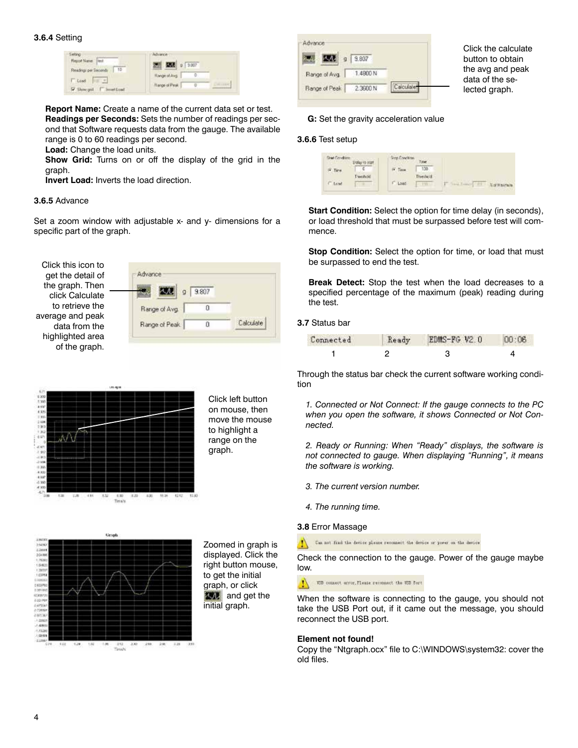| elting<br>Report Name Deck                 | <b>Advance</b><br>2000 0 3.007 |  |
|--------------------------------------------|--------------------------------|--|
| Readings per Seconds 15                    | <b>Hunge of Avg.</b>           |  |
| <b>T</b> Load<br>V Show god. F Inventional | Flange of Peak                 |  |

**Report Name:** Create a name of the current data set or test. **Readings per Seconds:** Sets the number of readings per second that Software requests data from the gauge. The available range is 0 to 60 readings per second.

**Load:** Change the load units.

**Show Grid:** Turns on or off the display of the grid in the graph.

**Invert Load:** Inverts the load direction.

#### **3.6.5** Advance

Set a zoom window with adjustable  $x$ - and  $y$ - dimensions for a specific part of the graph.

Click this icon to get the detail of the graph. Then click Calculate to retrieve the average and peak data from the highlighted area of the graph.





Click left button on mouse, then move the mouse to highlight a range on the graph.



Zoomed in graph is displayed. Click the right button mouse, to get the initial graph, or click **AND** and get the initial graph.

|               | $q$   9.807 |           |
|---------------|-------------|-----------|
| Range of Avg. | 1.4800 N    |           |
| Bange of Peak | 2.3600 N    | Calculair |

Click the calculate button to obtain the avg and peak data of the selected graph.

### **G:** Set the gravity acceleration value

### **3.6.6** Test setup

| Stat Condition | Dalay to start | <b>Step Condition</b> | Taler        |                      |
|----------------|----------------|-----------------------|--------------|----------------------|
| F. Tire.       |                | IV. Time.             | 100.         |                      |
|                | Threshold      | <b>CONTRACTOR</b>     | Therished.   |                      |
| F Low          |                | Load                  | <b>TITLY</b> | <b>Sat Makingare</b> |
|                |                |                       |              |                      |

**Start Condition:** Select the option for time delay (in seconds), or load threshold that must be surpassed before test will commence.

**Stop Condition:** Select the option for time, or load that must be surpassed to end the test.

**Break Detect:** Stop the test when the load decreases to a specified percentage of the maximum (peak) reading during the test.

**3.7** Status bar

| Connected | Ready | EDMS-FG V2.0 |  |
|-----------|-------|--------------|--|
|           |       |              |  |

Through the status bar check the current software working condition

*1. Connected or Not Connect: If the gauge connects to the PC when you open the software, it shows Connected or Not Connected.*

*2. Ready or Running: When "Ready" displays, the software is not connected to gauge. When displaying "Running", it means the software is working.*

- *3. The current version number.*
- *4. The running time.*

#### **3.8** Error Massage

Can not find the device please reconnect the device or power on the device

Check the connection to the gauge. Power of the gauge maybe low.

T50 commet error, Please reconnect the V50 fort

When the software is connecting to the gauge, you should not take the USB Port out, if it came out the message, you should reconnect the USB port.

#### **Element not found!**

Copy the "Ntgraph.ocx" file to C:\WINDOWS\system32: cover the old files.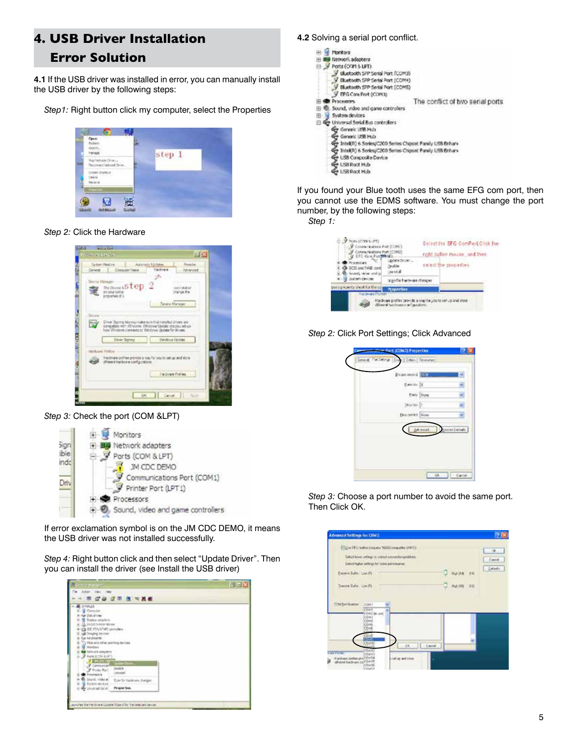# **4. USB Driver Installation Error Solution**

**4.1** If the USB driver was installed in error, you can manually install the USB driver by the following steps:

*Step1:* Right button click my computer, select the Properties

| Open<br>Refer<br>tines.<br>shape |           |
|----------------------------------|-----------|
|                                  | step<br>n |
| tatul met                        |           |
|                                  |           |

*Step 2:* Click the Hardware

| <b>SCANTING</b><br><b>GARCIA</b><br><b>Called Drawfords</b>                                                                                                                                     |                               | <b>12 EX</b>              |
|-------------------------------------------------------------------------------------------------------------------------------------------------------------------------------------------------|-------------------------------|---------------------------|
| Sydner Pentine<br>General Consultor Navia                                                                                                                                                       | Adultion Linkins<br>Hadraw    | <b>Heads</b><br>Reholmest |
| Derroe Manage<br>DeBenesStep 2<br>go your comp<br>properties of a                                                                                                                               |                               | painted of<br>change the  |
| tu.<br>Drew Signing Managemake sure that installed chiers are<br>compatible with Wingsom. Wingsom Update Istalyou and use<br>how Windows connects to Windows Update for Bruess.<br>Druer Seying | Windows liestate              |                           |
| Harkupe Fireling<br>Hardmare profiler provide is visy for you to set up and store.<br>different hardware configurations.                                                                        |                               |                           |
|                                                                                                                                                                                                 | Hardyare Profiles<br>OR Carol | <b>Robins</b>             |

*Step 3:* Check the port (COM &LPT)



If error exclamation symbol is on the JM CDC DEMO, it means the USB driver was not installed successfully.

*Step 4:* Right button click and then select "Update Driver". Then you can install the driver (see Install the USB driver)



### **4.2** Solving a serial port conflict.

| Monitors                                                    |                                  |
|-------------------------------------------------------------|----------------------------------|
| Network adapters                                            |                                  |
| Ports (ODM & LPT)<br>⊟                                      |                                  |
| Eliuetooth SPP Senal Port (COM3)                            |                                  |
| Elluetooth SPP Serial Port (COM4)                           |                                  |
| Bluebooth SPP Serial Port (COMS)                            |                                  |
| EFG Com Fort (COM3)                                         |                                  |
| <b>PENTAKETIPS</b>                                          | The conflict of two serial ports |
| Sound, video and game controllers                           |                                  |
|                                                             |                                  |
| System devices<br>田                                         |                                  |
| Universal Serial Bus controllers                            |                                  |
| Gre Generic USB Hub                                         |                                  |
| Generic USB Hub                                             |                                  |
| The Intel(R) 6 Series/C200 Series Chipset Family USB Enhany |                                  |
| Ge Intel(R) 6 Series/C200 Series Chipset Family USB Enhan-  |                                  |
| Ge USB Composite Device                                     |                                  |
| <b>GP USB Roct Hub</b>                                      |                                  |
|                                                             |                                  |
| <b>Go LISB Roct High</b>                                    |                                  |

If you found your Blue tooth uses the same EFG com port, then you cannot use the EDMS software. You must change the port number, by the following steps:

*Step 1:*



*Step 2:* Click Port Settings; Click Advanced



*Step 3:* Choose a port number to avoid the same port. Then Click OK.

| <b>Advanced Settings for COM!</b>                                                                                                                                                   |                                      |                                                                                            |                              |
|-------------------------------------------------------------------------------------------------------------------------------------------------------------------------------------|--------------------------------------|--------------------------------------------------------------------------------------------|------------------------------|
| Digital 18 C bullet   course 1933   compalitie (I/W 1)<br>Selections of legi is construction to golden.<br>Saked higher entiries for tester performance.                            |                                      | <b>STAR</b>                                                                                | 注:<br>O'LCANNELL<br>Callwald |
| Excess Safe: Liss (f)<br>Travered Bullet, Low ITA<br><b>Window</b>                                                                                                                  |                                      | Huhitr4<br>日本<br><b>STATISTICS</b><br>Hul: (10)<br>目图<br><b>STATISTICS</b><br><b>START</b> |                              |
| Children Live:<br><b>COWE</b><br>Inc. at DVD's<br>COME<br>COME<br>OJv6<br>COME                                                                                                      |                                      |                                                                                            |                              |
| 鰮<br>COWED<br>1411<br>COMEZ<br><b>Card Philass</b><br><b>UVIMER</b><br>Hardware picture position to<br>different hardware co. COV IP.<br><b>ZOVIE</b><br><b>STATISTICS</b><br>VINDE | $D_1$   David<br>setting and trices. |                                                                                            |                              |